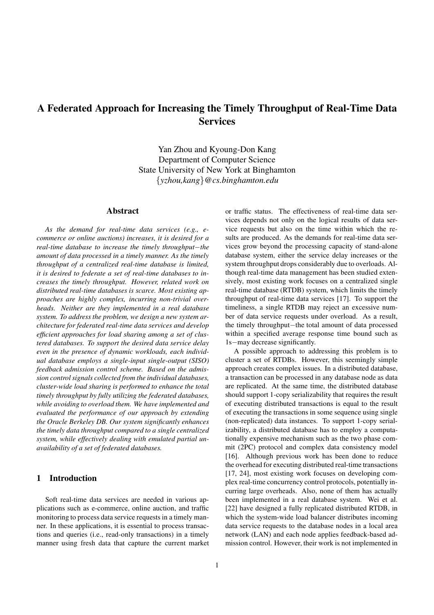# **A Federated Approach for Increasing the Timely Throughput of Real-Time Data Services**

Yan Zhou and Kyoung-Don Kang Department of Computer Science State University of New York at Binghamton {*yzhou,kang*}*@cs.binghamton.edu*

#### **Abstract**

*As the demand for real-time data services (e.g., ecommerce or online auctions) increases, it is desired for a real-time database to increase the timely throughput*−*the amount of data processed in a timely manner. As the timely throughput of a centralized real-time database is limited, it is desired to federate a set of real-time databases to increases the timely throughput. However, related work on distributed real-time databases is scarce. Most existing approaches are highly complex, incurring non-trivial overheads. Neither are they implemented in a real database system. To address the problem, we design a new system architecture for federated real-time data services and develop efficient approaches for load sharing among a set of clustered databases. To support the desired data service delay even in the presence of dynamic workloads, each individual database employs a single-input single-output (SISO) feedback admission control scheme. Based on the admission control signals collected from the individual databases, cluster-wide load sharing is performed to enhance the total timely throughput by fully utilizing the federated databases, while avoiding to overload them. We have implemented and evaluated the performance of our approach by extending the Oracle Berkeley DB. Our system significantly enhances the timely data throughput compared to a single centralized system, while effectively dealing with emulated partial unavailability of a set of federated databases.*

## **1 Introduction**

Soft real-time data services are needed in various applications such as e-commerce, online auction, and traffic monitoring to process data service requests in a timely manner. In these applications, it is essential to process transactions and queries (i.e., read-only transactions) in a timely manner using fresh data that capture the current market or traffic status. The effectiveness of real-time data services depends not only on the logical results of data service requests but also on the time within which the results are produced. As the demands for real-time data services grow beyond the processing capacity of stand-alone database system, either the service delay increases or the system throughput drops considerably due to overloads. Although real-time data management has been studied extensively, most existing work focuses on a centralized single real-time database (RTDB) system, which limits the timely throughput of real-time data services [17]. To support the timeliness, a single RTDB may reject an excessive number of data service requests under overload. As a result, the timely throughput−the total amount of data processed within a specified average response time bound such as 1s−may decrease significantly.

A possible approach to addressing this problem is to cluster a set of RTDBs. However, this seemingly simple approach creates complex issues. In a distributed database, a transaction can be processed in any database node as data are replicated. At the same time, the distributed database should support 1-copy serializability that requires the result of executing distributed transactions is equal to the result of executing the transactions in some sequence using single (non-replicated) data instances. To support 1-copy serializability, a distributed database has to employ a computationally expensive mechanism such as the two phase commit (2PC) protocol and complex data consistency model [16]. Although previous work has been done to reduce the overhead for executing distributed real-time transactions [17, 24], most existing work focuses on developing complex real-time concurrency control protocols, potentially incurring large overheads. Also, none of them has actually been implemented in a real database system. Wei et al. [22] have designed a fully replicated distributed RTDB, in which the system-wide load balancer distributes incoming data service requests to the database nodes in a local area network (LAN) and each node applies feedback-based admission control. However, their work is not implemented in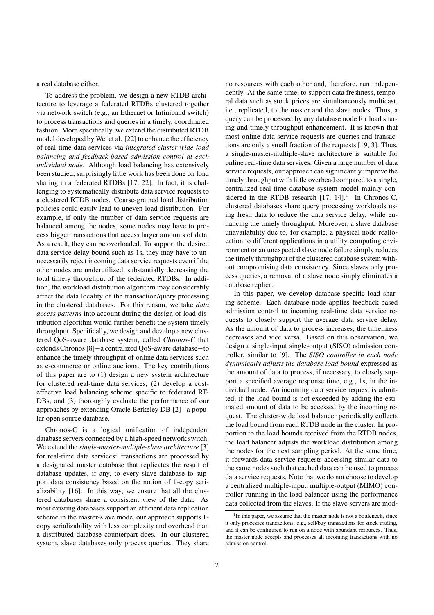a real database either.

To address the problem, we design a new RTDB architecture to leverage a federated RTDBs clustered together via network switch (e.g., an Ethernet or Infiniband switch) to process transactions and queries in a timely, coordinated fashion. More specifically, we extend the distributed RTDB model developed by Wei et al. [22] to enhance the efficiency of real-time data services via *integrated cluster-wide load balancing and feedback-based admission control at each individual node*. Although load balancing has extensively been studied, surprisingly little work has been done on load sharing in a federated RTDBs [17, 22]. In fact, it is challenging to systematically distribute data service requests to a clustered RTDB nodes. Coarse-grained load distribution policies could easily lead to uneven load distribution. For example, if only the number of data service requests are balanced among the nodes, some nodes may have to process bigger transactions that access larger amounts of data. As a result, they can be overloaded. To support the desired data service delay bound such as 1s, they may have to unnecessarily reject incoming data service requests even if the other nodes are underutilized, substantially decreasing the total timely throughput of the federated RTDBs. In addition, the workload distribution algorithm may considerably affect the data locality of the transaction/query processing in the clustered databases. For this reason, we take *data access patterns* into account during the design of load distribution algorithm would further benefit the system timely throughput. Specifically, we design and develop a new clustered QoS-aware database system, called *Chronos-C* that extends Chronos [8]−a centralized QoS-aware database−to enhance the timely throughput of online data services such as e-commerce or online auctions. The key contributions of this paper are to (1) design a new system architecture for clustered real-time data services, (2) develop a costeffective load balancing scheme specific to federated RT-DBs, and (3) thoroughly evaluate the performance of our approaches by extending Oracle Berkeley DB [2]−a popular open source database.

Chronos-C is a logical unification of independent database servers connected by a high-speed network switch. We extend the *single-master-multiple-slave architecture* [3] for real-time data services: transactions are processed by a designated master database that replicates the result of database updates, if any, to every slave database to support data consistency based on the notion of 1-copy serializability [16]. In this way, we ensure that all the clustered databases share a consistent view of the data. As most existing databases support an efficient data replication scheme in the master-slave mode, our approach supports 1 copy serializability with less complexity and overhead than a distributed database counterpart does. In our clustered system, slave databases only process queries. They share no resources with each other and, therefore, run independently. At the same time, to support data freshness, temporal data such as stock prices are simultaneously multicast, i.e., replicated, to the master and the slave nodes. Thus, a query can be processed by any database node for load sharing and timely throughput enhancement. It is known that most online data service requests are queries and transactions are only a small fraction of the requests [19, 3]. Thus, a single-master-multiple-slave architecture is suitable for online real-time data services. Given a large number of data service requests, our approach can significantly improve the timely throughput with little overhead compared to a single, centralized real-time database system model mainly considered in the RTDB research  $[17, 14]$ .<sup>1</sup> In Chronos-C, clustered databases share query processing workloads using fresh data to reduce the data service delay, while enhancing the timely throughput. Moreover, a slave database unavailability due to, for example, a physical node reallocation to different applications in a utility computing environment or an unexpected slave node failure simply reduces the timely throughput of the clustered database system without compromising data consistency. Since slaves only process queries, a removal of a slave node simply eliminates a database replica.

In this paper, we develop database-specific load sharing scheme. Each database node applies feedback-based admission control to incoming real-time data service requests to closely support the average data service delay. As the amount of data to process increases, the timeliness decreases and vice versa. Based on this observation, we design a single-input single-output (SISO) admission controller, similar to [9]. The *SISO controller in each node dynamically adjusts the database load bound* expressed as the amount of data to process, if necessary, to closely support a specified average response time, e.g., 1s, in the individual node. An incoming data service request is admitted, if the load bound is not exceeded by adding the estimated amount of data to be accessed by the incoming request. The cluster-wide load balancer periodically collects the load bound from each RTDB node in the cluster. In proportion to the load bounds received from the RTDB nodes, the load balancer adjusts the workload distribution among the nodes for the next sampling period. At the same time, it forwards data service requests accessing similar data to the same nodes such that cached data can be used to process data service requests. Note that we do not choose to develop a centralized multiple-input, multiple-output (MIMO) controller running in the load balancer using the performance data collected from the slaves. If the slave servers are mod-

<sup>&</sup>lt;sup>1</sup>In this paper, we assume that the master node is not a bottleneck, since it only processes transactions, e.g., sell/buy transactions for stock trading, and it can be configured to run on a node with abundant resources. Thus, the master node accepts and processes all incoming transactions with no admission control.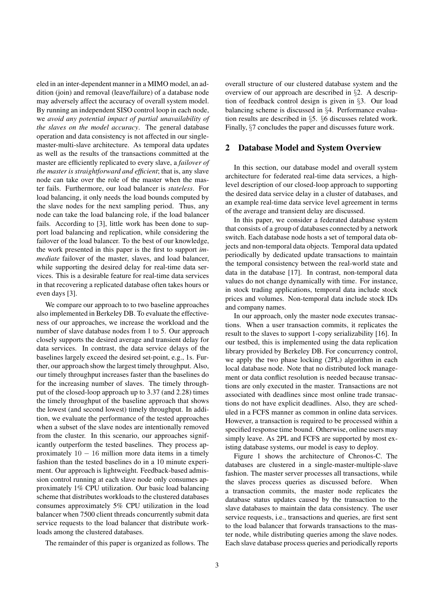eled in an inter-dependent manner in a MIMO model, an addition (join) and removal (leave/failure) of a database node may adversely affect the accuracy of overall system model. By running an independent SISO control loop in each node, we *avoid any potential impact of partial unavailability of the slaves on the model accuracy*. The general database operation and data consistency is not affected in our singlemaster-multi-slave architecture. As temporal data updates as well as the results of the transactions committed at the master are efficiently replicated to every slave, a *failover of the master is straightforward and efficient*; that is, any slave node can take over the role of the master when the master fails. Furthermore, our load balancer is *stateless*. For load balancing, it only needs the load bounds computed by the slave nodes for the next sampling period. Thus, any node can take the load balancing role, if the load balancer fails. According to [3], little work has been done to support load balancing and replication, while considering the failover of the load balancer. To the best of our knowledge, the work presented in this paper is the first to support *immediate* failover of the master, slaves, and load balancer, while supporting the desired delay for real-time data services. This is a desirable feature for real-time data services in that recovering a replicated database often takes hours or even days [3].

We compare our approach to to two baseline approaches also implemented in Berkeley DB. To evaluate the effectiveness of our approaches, we increase the workload and the number of slave database nodes from 1 to 5. Our approach closely supports the desired average and transient delay for data services. In contrast, the data service delays of the baselines largely exceed the desired set-point, e.g., 1s. Further, our approach show the largest timely throughput. Also, our timely throughput increases faster than the baselines do for the increasing number of slaves. The timely throughput of the closed-loop approach up to 3.37 (and 2.28) times the timely throughput of the baseline approach that shows the lowest (and second lowest) timely throughput. In addition, we evaluate the performance of the tested approaches when a subset of the slave nodes are intentionally removed from the cluster. In this scenario, our approaches significantly outperform the tested baselines. They process approximately  $10 - 16$  million more data items in a timely fashion than the tested baselines do in a 10 minute experiment. Our approach is lightweight. Feedback-based admission control running at each slave node only consumes approximately 1% CPU utilization. Our basic load balancing scheme that distributes workloads to the clustered databases consumes approximately 5% CPU utilization in the load balancer when 7500 client threads concurrently submit data service requests to the load balancer that distribute workloads among the clustered databases.

The remainder of this paper is organized as follows. The

overall structure of our clustered database system and the overview of our approach are described in §2. A description of feedback control design is given in §3. Our load balancing scheme is discussed in §4. Performance evaluation results are described in §5. §6 discusses related work. Finally, §7 concludes the paper and discusses future work.

## **2 Database Model and System Overview**

In this section, our database model and overall system architecture for federated real-time data services, a highlevel description of our closed-loop approach to supporting the desired data service delay in a cluster of databases, and an example real-time data service level agreement in terms of the average and transient delay are discussed.

In this paper, we consider a federated database system that consists of a group of databases connected by a network switch. Each database node hosts a set of temporal data objects and non-temporal data objects. Temporal data updated periodically by dedicated update transactions to maintain the temporal consistency between the real-world state and data in the database [17]. In contrast, non-temporal data values do not change dynamically with time. For instance, in stock trading applications, temporal data include stock prices and volumes. Non-temporal data include stock IDs and company names.

In our approach, only the master node executes transactions. When a user transaction commits, it replicates the result to the slaves to support 1-copy serializability [16]. In our testbed, this is implemented using the data replication library provided by Berkeley DB. For concurrency control, we apply the two phase locking (2PL) algorithm in each local database node. Note that no distributed lock management or data conflict resolution is needed because transactions are only executed in the master. Transactions are not associated with deadlines since most online trade transactions do not have explicit deadlines. Also, they are scheduled in a FCFS manner as common in online data services. However, a transaction is required to be processed within a specified response time bound. Otherwise, online users may simply leave. As 2PL and FCFS are supported by most existing database systems, our model is easy to deploy.

Figure 1 shows the architecture of Chronos-C. The databases are clustered in a single-master-multiple-slave fashion. The master server processes all transactions, while the slaves process queries as discussed before. When a transaction commits, the master node replicates the database status updates caused by the transaction to the slave databases to maintain the data consistency. The user service requests, i.e., transactions and queries, are first sent to the load balancer that forwards transactions to the master node, while distributing queries among the slave nodes. Each slave database process queries and periodically reports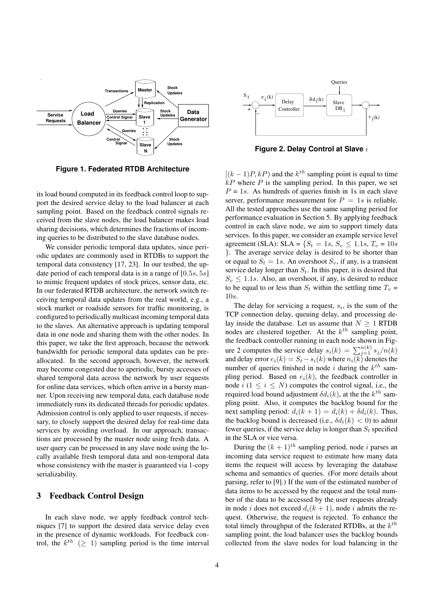

**Figure 1. Federated RTDB Architecture**

its load bound computed in its feedback control loop to support the desired service delay to the load balancer at each sampling point. Based on the feedback control signals received from the slave nodes, the load balancer makes load sharing decisions, which determines the fractions of incoming queries to be distributed to the slave database nodes.

We consider periodic temporal data updates, since periodic updates are commonly used in RTDBs to support the temporal data consistency [17, 23]. In our testbed, the update period of each temporal data is in a range of  $[0.5s, 5s]$ to mimic frequent updates of stock prices, sensor data, etc. In our federated RTDB architecture, the network switch receiving temporal data updates from the real world, e.g., a stock market or roadside sensors for traffic monitoring, is configured to periodically multicast incoming temporal data to the slaves. An alternative approach is updating temporal data in one node and sharing them with the other nodes. In this paper, we take the first approach, because the network bandwidth for periodic temporal data updates can be preallocated. In the second approach, however, the network may become congested due to aperiodic, bursty accesses of shared temporal data across the network by user requests for online data services, which often arrive in a bursty manner. Upon receiving new temporal data, each database node immediately runs its dedicated threads for periodic updates. Admission control is only applied to user requests, if necessary, to closely support the desired delay for real-time data services by avoiding overload. In our approach, transactions are processed by the master node using fresh data. A user query can be processed in any slave node using the locally available fresh temporal data and non-temporal data whose consistency with the master is guaranteed via 1-copy serializability.

## **3 Feedback Control Design**

In each slave node, we apply feedback control techniques [7] to support the desired data service delay even in the presence of dynamic workloads. For feedback control, the  $k^{th}$  ( $\geq 1$ ) sampling period is the time interval



**Figure 2. Delay Control at Slave** i

 $[(k-1)P, kP)$  and the  $k<sup>th</sup>$  sampling point is equal to time  $kP$  where P is the sampling period. In this paper, we set  $P = 1s$ . As hundreds of queries finish in 1s in each slave server, performance measurement for  $P = 1s$  is reliable. All the tested approaches use the same sampling period for performance evaluation in Section 5. By applying feedback control in each slave node, we aim to support timely data services. In this paper, we consider an example service level agreement (SLA): SLA = { $S_t = 1s$ ,  $S_v \le 1.1s$ ,  $T_v = 10s$ }. The average service delay is desired to be shorter than or equal to  $S_t = 1s$ . An overshoot  $S_y$ , if any, is a transient service delay longer than  $S_t$ . In this paper, it is desired that  $S_v \le 1.1s$ . Also, an overshoot, if any, is desired to reduce to be equal to or less than  $S_t$  within the settling time  $T_v$  =  $10<sub>s</sub>$ 

The delay for servicing a request,  $s_i$ , is the sum of the TCP connection delay, queuing delay, and processing delay inside the database. Let us assume that  $N \geq 1$  RTDB nodes are clustered together. At the  $k^{th}$  sampling point, the feedback controller running in each node shown in Figure 2 computes the service delay  $s_i(k) = \sum_{j=1}^{n(k)} s_j/n(k)$ and delay error  $e_i(k) = S_t - s_i(k)$  where  $n_i(k)$  denotes the number of queries finished in node i during the  $k^{th}$  sampling period. Based on  $e_i(k)$ , the feedback controller in node  $i (1 \le i \le N)$  computes the control signal, i.e., the required load bound adjustment  $\delta d_i(k)$ , at the the  $k^{th}$  sampling point. Also, it computes the backlog bound for the next sampling period:  $d_i(k + 1) = d_i(k) + \delta d_i(k)$ . Thus, the backlog bound is decreased (i.e.,  $\delta d_i(k) < 0$ ) to admit fewer queries, if the service delay is longer than  $S_t$  specified in the SLA or vice versa.

During the  $(k + 1)^{th}$  sampling period, node *i* parses an incoming data service request to estimate how many data items the request will access by leveraging the database schema and semantics of queries. (For more details about parsing, refer to [9].) If the sum of the estimated number of data items to be accessed by the request and the total number of the data to be accessed by the user requests already in node i does not exceed  $d_i(k + 1)$ , node i admits the request. Otherwise, the request is rejected. To enhance the total timely throughput of the federated RTDBs, at the  $k^{th}$ sampling point, the load balancer uses the backlog bounds collected from the slave nodes for load balancing in the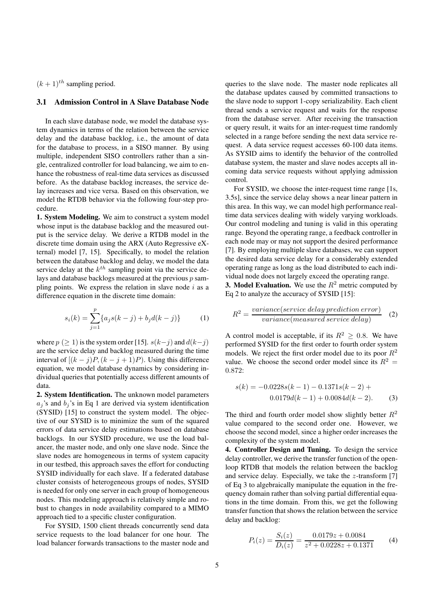$(k+1)^{th}$  sampling period.

#### **3.1 Admission Control in A Slave Database Node**

In each slave database node, we model the database system dynamics in terms of the relation between the service delay and the database backlog, i.e., the amount of data for the database to process, in a SISO manner. By using multiple, independent SISO controllers rather than a single, centralized controller for load balancing, we aim to enhance the robustness of real-time data services as discussed before. As the database backlog increases, the service delay increases and vice versa. Based on this observation, we model the RTDB behavior via the following four-step procedure.

**1. System Modeling.** We aim to construct a system model whose input is the database backlog and the measured output is the service delay. We derive a RTDB model in the discrete time domain using the ARX (Auto Regressive eXternal) model [7, 15]. Specifically, to model the relation between the database backlog and delay, we model the data service delay at the  $k^{th}$  sampling point via the service delays and database backlogs measured at the previous p sampling points. We express the relation in slave node  $i$  as a difference equation in the discrete time domain:

$$
s_i(k) = \sum_{j=1}^{p} \{a_j s(k-j) + b_j d(k-j)\}
$$
 (1)

where  $p$  ( $\geq 1$ ) is the system order [15].  $s(k-j)$  and  $d(k-j)$ are the service delay and backlog measured during the time interval of  $[(k - j)P, (k - j + 1)P)$ . Using this difference equation, we model database dynamics by considering individual queries that potentially access different amounts of data.

**2. System Identification.** The unknown model parameters  $a_i$ 's and  $b_i$ 's in Eq 1 are derived via system identification (SYSID) [15] to construct the system model. The objective of our SYSID is to minimize the sum of the squared errors of data service delay estimations based on database backlogs. In our SYSID procedure, we use the load balancer, the master node, and only one slave node. Since the slave nodes are homogeneous in terms of system capacity in our testbed, this approach saves the effort for conducting SYSID individually for each slave. If a federated database cluster consists of heterogeneous groups of nodes, SYSID is needed for only one server in each group of homogeneous nodes. This modeling approach is relatively simple and robust to changes in node availability compared to a MIMO approach tied to a specific cluster configuration.

For SYSID, 1500 client threads concurrently send data service requests to the load balancer for one hour. The load balancer forwards transactions to the master node and queries to the slave node. The master node replicates all the database updates caused by committed transactions to the slave node to support 1-copy serializability. Each client thread sends a service request and waits for the response from the database server. After receiving the transaction or query result, it waits for an inter-request time randomly selected in a range before sending the next data service request. A data service request accesses 60-100 data items. As SYSID aims to identify the behavior of the controlled database system, the master and slave nodes accepts all incoming data service requests without applying admission control.

For SYSID, we choose the inter-request time range [1s, 3.5s], since the service delay shows a near linear pattern in this area. In this way, we can model high performance realtime data services dealing with widely varying workloads. Our control modeling and tuning is valid in this operating range. Beyond the operating range, a feedback controller in each node may or may not support the desired performance [7]. By employing multiple slave databases, we can support the desired data service delay for a considerably extended operating range as long as the load distributed to each individual node does not largely exceed the operating range.

**3. Model Evaluation.** We use the  $R^2$  metric computed by Eq 2 to analyze the accuracy of SYSID [15]:

$$
R2 = variance(service delay prediction error) variance(measured service delay)
$$
 (2)

A control model is acceptable, if its  $R^2 > 0.8$ . We have performed SYSID for the first order to fourth order system models. We reject the first order model due to its poor  $R^2$ value. We choose the second order model since its  $R^2 =$ 0.872:

$$
s(k) = -0.0228s(k-1) - 0.1371s(k-2) +
$$
  
0.0179d(k-1) + 0.0084d(k-2). (3)

The third and fourth order model show slightly better  $R^2$ value compared to the second order one. However, we choose the second model, since a higher order increases the complexity of the system model.

**4. Controller Design and Tuning.** To design the service delay controller, we derive the transfer function of the openloop RTDB that models the relation between the backlog and service delay. Especially, we take the  $z$ -transform [7] of Eq 3 to algebraically manipulate the equation in the frequency domain rather than solving partial differential equations in the time domain. From this, we get the following transfer function that shows the relation between the service delay and backlog:

$$
P_i(z) = \frac{S_i(z)}{D_i(z)} = \frac{0.0179z + 0.0084}{z^2 + 0.0228z + 0.1371}
$$
 (4)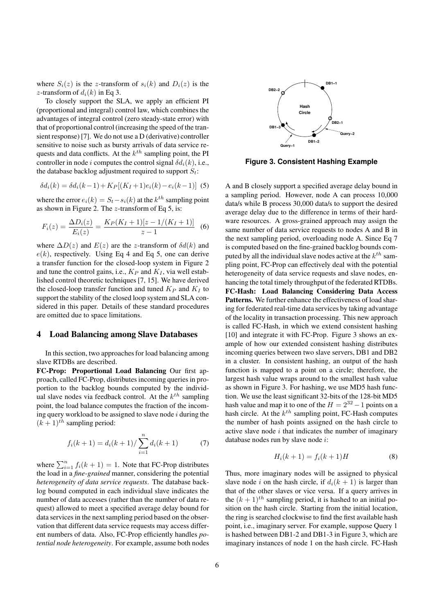where  $S_i(z)$  is the z-transform of  $s_i(k)$  and  $D_i(z)$  is the z-transform of  $d_i(k)$  in Eq 3.

To closely support the SLA, we apply an efficient PI (proportional and integral) control law, which combines the advantages of integral control (zero steady-state error) with that of proportional control (increasing the speed of the transient response) [7]. We do not use a D (derivative) controller sensitive to noise such as bursty arrivals of data service requests and data conflicts. At the  $k^{th}$  sampling point, the PI controller in node i computes the control signal  $\delta d_i(k)$ , i.e., the database backlog adjustment required to support  $S_t$ :

$$
\delta d_i(k) = \delta d_i(k-1) + K_P[(K_I + 1)e_i(k) - e_i(k-1)] \tag{5}
$$

where the error  $e_i(k) = S_t - s_i(k)$  at the  $k^{th}$  sampling point as shown in Figure 2. The  $z$ -transform of Eq 5, is:

$$
F_i(z) = \frac{\Delta D_i(z)}{E_i(z)} = \frac{K_P(K_I + 1)[z - 1/(K_I + 1)]}{z - 1}
$$
(6)

where  $\Delta D(z)$  and  $E(z)$  are the z-transform of  $\delta d(k)$  and  $e(k)$ , respectively. Using Eq 4 and Eq 5, one can derive a transfer function for the closed-loop system in Figure 2 and tune the control gains, i.e.,  $K_P$  and  $K_I$ , via well established control theoretic techniques [7, 15]. We have derived the closed-loop transfer function and tuned  $K_P$  and  $K_I$  to support the stability of the closed loop system and SLA considered in this paper. Details of these standard procedures are omitted due to space limitations.

## **4 Load Balancing among Slave Databases**

In this section, two approaches for load balancing among slave RTDBs are described.

**FC-Prop: Proportional Load Balancing** Our first approach, called FC-Prop, distributes incoming queries in proportion to the backlog bounds computed by the individual slave nodes via feedback control. At the  $k^{th}$  sampling point, the load balance computes the fraction of the incoming query workload to be assigned to slave node  $i$  during the  $(k + 1)^{th}$  sampling period:

$$
f_i(k+1) = d_i(k+1)/\sum_{i=1}^{n} d_i(k+1)
$$
 (7)

where  $\sum_{i=1}^{n} f_i(k + 1) = 1$ . Note that FC-Prop distributes the load in a *fine-grained* manner, considering the potential *heterogeneity of data service requests*. The database backlog bound computed in each individual slave indicates the number of data accesses (rather than the number of data request) allowed to meet a specified average delay bound for data services in the next sampling period based on the observation that different data service requests may access different numbers of data. Also, FC-Prop efficiently handles *potential node heterogeneity*. For example, assume both nodes



**Figure 3. Consistent Hashing Example**

A and B closely support a specified average delay bound in a sampling period. However, node A can process 10,000 data/s while B process 30,000 data/s to support the desired average delay due to the difference in terms of their hardware resources. A gross-grained approach may assign the same number of data service requests to nodes A and B in the next sampling period, overloading node A. Since Eq 7 is computed based on the fine-grained backlog bounds computed by all the individual slave nodes active at the  $k^{th}$  sampling point, FC-Prop can effectively deal with the potential heterogeneity of data service requests and slave nodes, enhancing the total timely throughput of the federated RTDBs. **FC-Hash: Load Balancing Considering Data Access Patterns.** We further enhance the effectiveness of load sharing for federated real-time data services by taking advantage of the locality in transaction processing. This new approach is called FC-Hash, in which we extend consistent hashing [10] and integrate it with FC-Prop. Figure 3 shows an example of how our extended consistent hashing distributes incoming queries between two slave servers, DB1 and DB2 in a cluster. In consistent hashing, an output of the hash function is mapped to a point on a circle; therefore, the largest hash value wraps around to the smallest hash value as shown in Figure 3. For hashing, we use MD5 hash function. We use the least significant 32-bits of the 128-bit MD5 hash value and map it to one of the  $H = 2^{32} - 1$  points on a hash circle. At the  $k^{th}$  sampling point, FC-Hash computes the number of hash points assigned on the hash circle to active slave node  $i$  that indicates the number of imaginary database nodes run by slave node i:

$$
H_i(k+1) = f_i(k+1)H
$$
 (8)

Thus, more imaginary nodes will be assigned to physical slave node i on the hash circle, if  $d_i(k + 1)$  is larger than that of the other slaves or vice versa. If a query arrives in the  $(k + 1)^{th}$  sampling period, it is hashed to an initial position on the hash circle. Starting from the initial location, the ring is searched clockwise to find the first available hash point, i.e., imaginary server. For example, suppose Query 1 is hashed between DB1-2 and DB1-3 in Figure 3, which are imaginary instances of node 1 on the hash circle. FC-Hash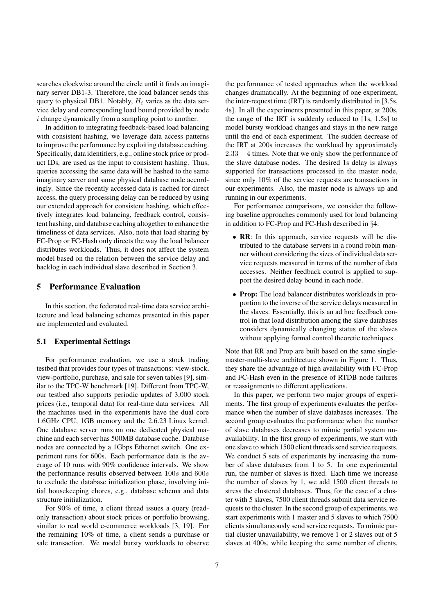searches clockwise around the circle until it finds an imaginary server DB1-3. Therefore, the load balancer sends this query to physical DB1. Notably,  $H_i$  varies as the data service delay and corresponding load bound provided by node i change dynamically from a sampling point to another.

In addition to integrating feedback-based load balancing with consistent hashing, we leverage data access patterns to improve the performance by exploiting database caching. Specifically, data identifiers, e.g., online stock price or product IDs, are used as the input to consistent hashing. Thus, queries accessing the same data will be hashed to the same imaginary server and same physical database node accordingly. Since the recently accessed data is cached for direct access, the query processing delay can be reduced by using our extended approach for consistent hashing, which effectively integrates load balancing, feedback control, consistent hashing, and database caching altogether to enhance the timeliness of data services. Also, note that load sharing by FC-Prop or FC-Hash only directs the way the load balancer distributes workloads. Thus, it does not affect the system model based on the relation between the service delay and backlog in each individual slave described in Section 3.

## **5 Performance Evaluation**

In this section, the federated real-time data service architecture and load balancing schemes presented in this paper are implemented and evaluated.

#### **5.1 Experimental Settings**

For performance evaluation, we use a stock trading testbed that provides four types of transactions: view-stock, view-portfolio, purchase, and sale for seven tables [9], similar to the TPC-W benchmark [19]. Different from TPC-W, our testbed also supports periodic updates of 3,000 stock prices (i.e., temporal data) for real-time data services. All the machines used in the experiments have the dual core 1.6GHz CPU, 1GB memory and the 2.6.23 Linux kernel. One database server runs on one dedicated physical machine and each server has 500MB database cache. Database nodes are connected by a 1Gbps Ethernet switch. One experiment runs for 600s. Each performance data is the average of 10 runs with 90% confidence intervals. We show the performance results observed between 100s and 600s to exclude the database initialization phase, involving initial housekeeping chores, e.g., database schema and data structure initialization.

For 90% of time, a client thread issues a query (readonly transaction) about stock prices or portfolio browsing, similar to real world e-commerce workloads [3, 19]. For the remaining 10% of time, a client sends a purchase or sale transaction. We model bursty workloads to observe the performance of tested approaches when the workload changes dramatically. At the beginning of one experiment, the inter-request time (IRT) is randomly distributed in [3.5s, 4s]. In all the experiments presented in this paper, at 200s, the range of the IRT is suddenly reduced to [1s, 1.5s] to model bursty workload changes and stays in the new range until the end of each experiment. The sudden decrease of the IRT at 200s increases the workload by approximately 2.33 – 4 times. Note that we only show the performance of the slave database nodes. The desired 1s delay is always supported for transactions processed in the master node, since only 10% of the service requests are transactions in our experiments. Also, the master node is always up and running in our experiments.

For performance comparisons, we consider the following baseline approaches commonly used for load balancing in addition to FC-Prop and FC-Hash described in §4:

- **RR**: In this approach, service requests will be distributed to the database servers in a round robin manner without considering the sizes of individual data service requests measured in terms of the number of data accesses. Neither feedback control is applied to support the desired delay bound in each node.
- **Prop:** The load balancer distributes workloads in proportion to the inverse of the service delays measured in the slaves. Essentially, this is an ad hoc feedback control in that load distribution among the slave databases considers dynamically changing status of the slaves without applying formal control theoretic techniques.

Note that RR and Prop are built based on the same singlemaster-multi-slave architecture shown in Figure 1. Thus, they share the advantage of high availability with FC-Prop and FC-Hash even in the presence of RTDB node failures or reassignments to different applications.

In this paper, we perform two major groups of experiments. The first group of experiments evaluates the performance when the number of slave databases increases. The second group evaluates the performance when the number of slave databases decreases to mimic partial system unavailability. In the first group of experiments, we start with one slave to which 1500 client threads send service requests. We conduct 5 sets of experiments by increasing the number of slave databases from 1 to 5. In one experimental run, the number of slaves is fixed. Each time we increase the number of slaves by 1, we add 1500 client threads to stress the clustered databases. Thus, for the case of a cluster with 5 slaves, 7500 client threads submit data service requests to the cluster. In the second group of experiments, we start experiments with 1 master and 5 slaves to which 7500 clients simultaneously send service requests. To mimic partial cluster unavailability, we remove 1 or 2 slaves out of 5 slaves at 400s, while keeping the same number of clients.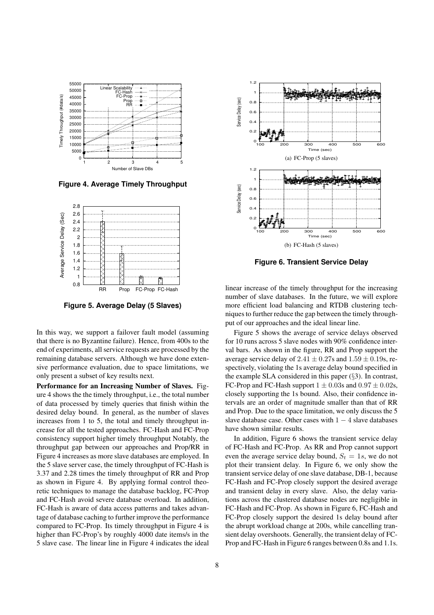

**Figure 4. Average Timely Throughput**



**Figure 5. Average Delay (5 Slaves)**

In this way, we support a failover fault model (assuming that there is no Byzantine failure). Hence, from 400s to the end of experiments, all service requests are processed by the remaining database servers. Although we have done extensive performance evaluation, due to space limitations, we only present a subset of key results next.

**Performance for an Increasing Number of Slaves.** Figure 4 shows the the timely throughput, i.e., the total number of data processed by timely queries that finish within the desired delay bound. In general, as the number of slaves increases from 1 to 5, the total and timely throughput increase for all the tested approaches. FC-Hash and FC-Prop consistency support higher timely throughput Notably, the throughput gap between our approaches and Prop/RR in Figure 4 increases as more slave databases are employed. In the 5 slave server case, the timely throughput of FC-Hash is 3.37 and 2.28 times the timely throughput of RR and Prop as shown in Figure 4. By applying formal control theoretic techniques to manage the database backlog, FC-Prop and FC-Hash avoid severe database overload. In addition, FC-Hash is aware of data access patterns and takes advantage of database caching to further improve the performance compared to FC-Prop. Its timely throughput in Figure 4 is higher than FC-Prop's by roughly 4000 date items/s in the 5 slave case. The linear line in Figure 4 indicates the ideal



**Figure 6. Transient Service Delay**

linear increase of the timely throughput for the increasing number of slave databases. In the future, we will explore more efficient load balancing and RTDB clustering techniques to further reduce the gap between the timely throughput of our approaches and the ideal linear line.

Figure 5 shows the average of service delays observed for 10 runs across 5 slave nodes with 90% confidence interval bars. As shown in the figure, RR and Prop support the average service delay of  $2.41 \pm 0.27$ s and  $1.59 \pm 0.19$ s, respectively, violating the 1s average delay bound specified in the example SLA considered in this paper (§3). In contrast, FC-Prop and FC-Hash support  $1 \pm 0.03$ s and  $0.97 \pm 0.02$ s, closely supporting the 1s bound. Also, their confidence intervals are an order of magnitude smaller than that of RR and Prop. Due to the space limitation, we only discuss the 5 slave database case. Other cases with  $1 - 4$  slave databases have shown similar results.

In addition, Figure 6 shows the transient service delay of FC-Hash and FC-Prop. As RR and Prop cannot support even the average service delay bound,  $S_t = 1s$ , we do not plot their transient delay. In Figure 6, we only show the transient service delay of one slave database, DB-1, because FC-Hash and FC-Prop closely support the desired average and transient delay in every slave. Also, the delay variations across the clustered database nodes are negligible in FC-Hash and FC-Prop. As shown in Figure 6, FC-Hash and FC-Prop closely support the desired 1s delay bound after the abrupt workload change at 200s, while cancelling transient delay overshoots. Generally, the transient delay of FC-Prop and FC-Hash in Figure 6 ranges between 0.8s and 1.1s.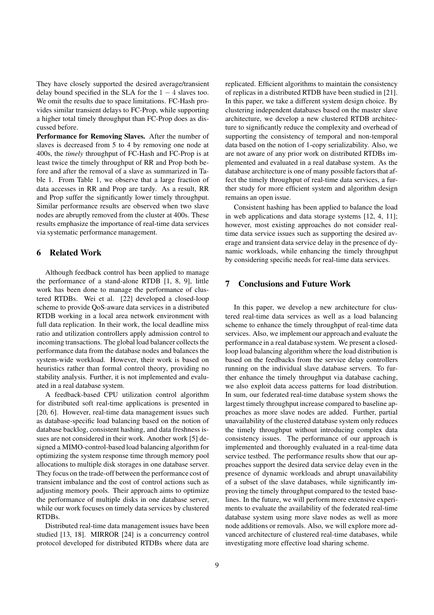They have closely supported the desired average/transient delay bound specified in the SLA for the  $1 - 4$  slaves too. We omit the results due to space limitations. FC-Hash provides similar transient delays to FC-Prop, while supporting a higher total timely throughput than FC-Prop does as discussed before.

**Performance for Removing Slaves.** After the number of slaves is decreased from 5 to 4 by removing one node at 400s, the *timely* throughput of FC-Hash and FC-Prop is at least twice the timely throughput of RR and Prop both before and after the removal of a slave as summarized in Table 1. From Table 1, we observe that a large fraction of data accesses in RR and Prop are tardy. As a result, RR and Prop suffer the significantly lower timely throughput. Similar performance results are observed when two slave nodes are abruptly removed from the cluster at 400s. These results emphasize the importance of real-time data services via systematic performance management.

# **6 Related Work**

Although feedback control has been applied to manage the performance of a stand-alone RTDB [1, 8, 9], little work has been done to manage the performance of clustered RTDBs. Wei et al. [22] developed a closed-loop scheme to provide QoS-aware data services in a distributed RTDB working in a local area network environment with full data replication. In their work, the local deadline miss ratio and utilization controllers apply admission control to incoming transactions. The global load balancer collects the performance data from the database nodes and balances the system-wide workload. However, their work is based on heuristics rather than formal control theory, providing no stability analysis. Further, it is not implemented and evaluated in a real database system.

A feedback-based CPU utilization control algorithm for distributed soft real-time applications is presented in [20, 6]. However, real-time data management issues such as database-specific load balancing based on the notion of database backlog, consistent hashing, and data freshness issues are not considered in their work. Another work [5] designed a MIMO-control-based load balancing algorithm for optimizing the system response time through memory pool allocations to multiple disk storages in one database server. They focus on the trade-off between the performance cost of transient imbalance and the cost of control actions such as adjusting memory pools. Their approach aims to optimize the performance of multiple disks in one database server, while our work focuses on timely data services by clustered RTDBs.

Distributed real-time data management issues have been studied [13, 18]. MIRROR [24] is a concurrency control protocol developed for distributed RTDBs where data are replicated. Efficient algorithms to maintain the consistency of replicas in a distributed RTDB have been studied in [21]. In this paper, we take a different system design choice. By clustering independent databases based on the master slave architecture, we develop a new clustered RTDB architecture to significantly reduce the complexity and overhead of supporting the consistency of temporal and non-temporal data based on the notion of 1-copy serializability. Also, we are not aware of any prior work on distributed RTDBs implemented and evaluated in a real database system. As the database architecture is one of many possible factors that affect the timely throughput of real-time data services, a further study for more efficient system and algorithm design remains an open issue.

Consistent hashing has been applied to balance the load in web applications and data storage systems [12, 4, 11]; however, most existing approaches do not consider realtime data service issues such as supporting the desired average and transient data service delay in the presence of dynamic workloads, while enhancing the timely throughput by considering specific needs for real-time data services.

# **7 Conclusions and Future Work**

In this paper, we develop a new architecture for clustered real-time data services as well as a load balancing scheme to enhance the timely throughput of real-time data services. Also, we implement our approach and evaluate the performance in a real database system. We present a closedloop load balancing algorithm where the load distribution is based on the feedbacks from the service delay controllers running on the individual slave database servers. To further enhance the timely throughput via database caching, we also exploit data access patterns for load distribution. In sum, our federated real-time database system shows the largest timely throughput increase compared to baseline approaches as more slave nodes are added. Further, partial unavailability of the clustered database system only reduces the timely throughput without introducing complex data consistency issues. The performance of our approach is implemented and thoroughly evaluated in a real-time data service testbed. The performance results show that our approaches support the desired data service delay even in the presence of dynamic workloads and abrupt unavailability of a subset of the slave databases, while significantly improving the timely throughput compared to the tested baselines. In the future, we will perform more extensive experiments to evaluate the availability of the federated real-time database system using more slave nodes as well as more node additions or removals. Also, we will explore more advanced architecture of clustered real-time databases, while investigating more effective load sharing scheme.